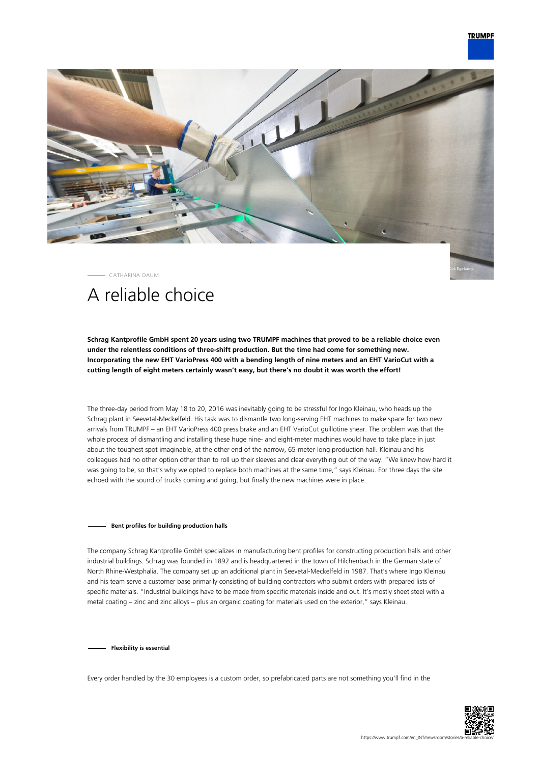

CATHARINA DAUM

# A reliable choice

**Schrag Kantprofile GmbH spent 20 years using two TRUMPF machines that proved to be a reliable choice even under the relentless conditions of three-shift production. But the time had come for something new. Incorporating the new EHT VarioPress 400 with a bending length of nine meters and an EHT VarioCut with a cutting length of eight meters certainly wasn't easy, but there's no doubt it was worth the effort!**

The three-day period from May 18 to 20, 2016 was inevitably going to be stressful for Ingo Kleinau, who heads up the Schrag plant in Seevetal-Meckelfeld. His task was to dismantle two long-serving EHT machines to make space for two new arrivals from TRUMPF – an EHT VarioPress 400 press brake and an EHT VarioCut guillotine shear. The problem was that the whole process of dismantling and installing these huge nine- and eight-meter machines would have to take place in just about the toughest spot imaginable, at the other end of the narrow, 65-meter-long production hall. Kleinau and his colleagues had no other option other than to roll up their sleeves and clear everything out of the way. "We knew how hard it was going to be, so that's why we opted to replace both machines at the same time," says Kleinau. For three days the site echoed with the sound of trucks coming and going, but finally the new machines were in place.

## **Bent profiles for building production halls**

The company Schrag Kantprofile GmbH specializes in manufacturing bent profiles for constructing production halls and other industrial buildings. Schrag was founded in 1892 and is headquartered in the town of Hilchenbach in the German state of North Rhine-Westphalia. The company set up an additional plant in Seevetal-Meckelfeld in 1987. That's where Ingo Kleinau and his team serve a customer base primarily consisting of building contractors who submit orders with prepared lists of specific materials. "Industrial buildings have to be made from specific materials inside and out. It's mostly sheet steel with a metal coating – zinc and zinc alloys – plus an organic coating for materials used on the exterior," says Kleinau.

**Flexibility is essential**

Every order handled by the 30 employees is a custom order, so prefabricated parts are not something you'll find in the

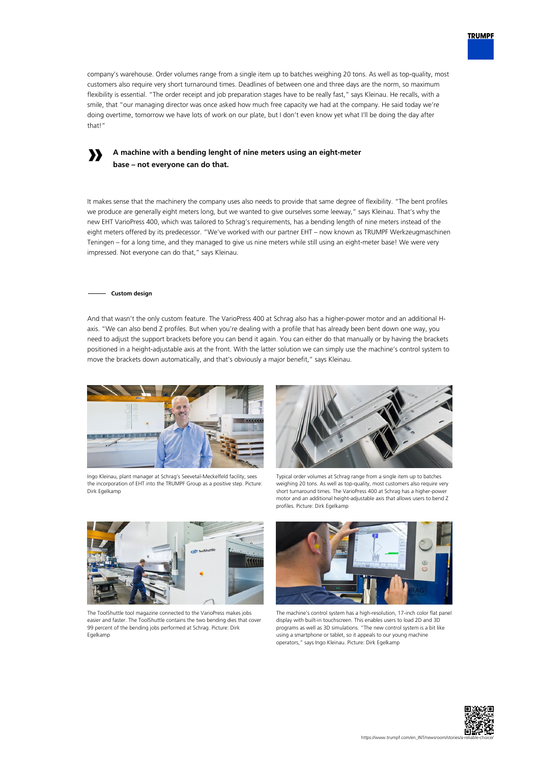

company's warehouse. Order volumes range from a single item up to batches weighing 20 tons. As well as top-quality, most customers also require very short turnaround times. Deadlines of between one and three days are the norm, so maximum flexibility is essential. "The order receipt and job preparation stages have to be really fast," says Kleinau. He recalls, with a smile, that "our managing director was once asked how much free capacity we had at the company. He said today we're doing overtime, tomorrow we have lots of work on our plate, but I don't even know yet what I'll be doing the day after that!"

# **A machine with a bending lenght of nine meters using an eight-meter base – not everyone can do that.**

It makes sense that the machinery the company uses also needs to provide that same degree of flexibility. "The bent profiles we produce are generally eight meters long, but we wanted to give ourselves some leeway," says Kleinau. That's why the new EHT VarioPress 400, which was tailored to Schrag's requirements, has a bending length of nine meters instead of the eight meters offered by its predecessor. "We've worked with our partner EHT – now known as TRUMPF Werkzeugmaschinen Teningen – for a long time, and they managed to give us nine meters while still using an eight-meter base! We were very impressed. Not everyone can do that," says Kleinau.

## **Custom design**

**»**

And that wasn't the only custom feature. The VarioPress 400 at Schrag also has a higher-power motor and an additional Haxis. "We can also bend Z profiles. But when you're dealing with a profile that has already been bent down one way, you need to adjust the support brackets before you can bend it again. You can either do that manually or by having the brackets positioned in a height-adjustable axis at the front. With the latter solution we can simply use the machine's control system to move the brackets down automatically, and that's obviously a major benefit," says Kleinau.



Ingo Kleinau, plant manager at Schrag's Seevetal-Meckelfeld facility, sees the incorporation of EHT into the TRUMPF Group as a positive step. Picture: Dirk Egelkamp



Typical order volumes at Schrag range from a single item up to batches weighing 20 tons. As well as top-quality, most customers also require very short turnaround times. The VarioPress 400 at Schrag has a higher-power motor and an additional height-adjustable axis that allows users to bend Z profiles. Picture: Dirk Egelkamp



The ToolShuttle tool magazine connected to the VarioPress makes jobs easier and faster. The ToolShuttle contains the two bending dies that cover 99 percent of the bending jobs performed at Schrag. Picture: Dirk Egelkamp



The machine's control system has a high-resolution, 17-inch color flat panel display with built-in touchscreen. This enables users to load 2D and 3D programs as well as 3D simulations. "The new control system is a bit like using a smartphone or tablet, so it appeals to our young machine operators," says Ingo Kleinau. Picture: Dirk Egelkamp

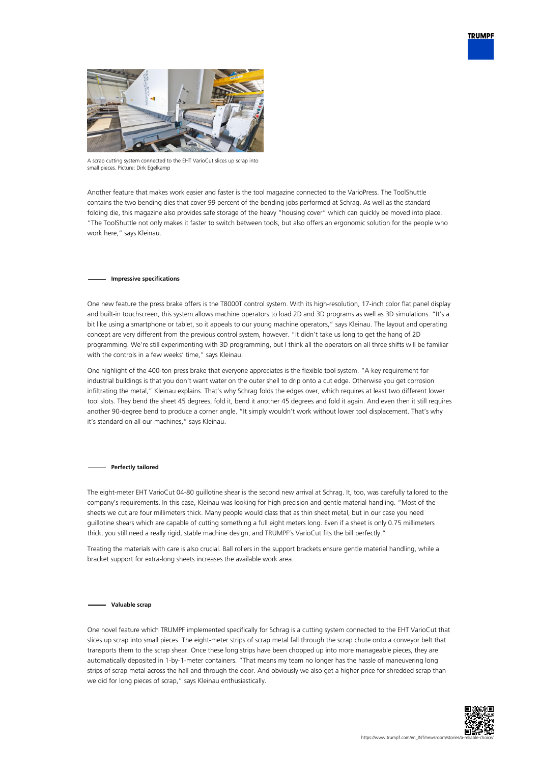



A scrap cutting system connected to the EHT VarioCut slices up scrap into small pieces. Picture: Dirk Egelkamp

Another feature that makes work easier and faster is the tool magazine connected to the VarioPress. The ToolShuttle contains the two bending dies that cover 99 percent of the bending jobs performed at Schrag. As well as the standard folding die, this magazine also provides safe storage of the heavy "housing cover" which can quickly be moved into place. "The ToolShuttle not only makes it faster to switch between tools, but also offers an ergonomic solution for the people who work here," says Kleinau.

### **Impressive specifications**

One new feature the press brake offers is the T8000T control system. With its high-resolution, 17-inch color flat panel display and built-in touchscreen, this system allows machine operators to load 2D and 3D programs as well as 3D simulations. "It's a bit like using a smartphone or tablet, so it appeals to our young machine operators," says Kleinau. The layout and operating concept are very different from the previous control system, however. "It didn't take us long to get the hang of 2D programming. We're still experimenting with 3D programming, but I think all the operators on all three shifts will be familiar with the controls in a few weeks' time," says Kleinau.

One highlight of the 400-ton press brake that everyone appreciates is the flexible tool system. "A key requirement for industrial buildings is that you don't want water on the outer shell to drip onto a cut edge. Otherwise you get corrosion infiltrating the metal," Kleinau explains. That's why Schrag folds the edges over, which requires at least two different lower tool slots. They bend the sheet 45 degrees, fold it, bend it another 45 degrees and fold it again. And even then it still requires another 90-degree bend to produce a corner angle. "It simply wouldn't work without lower tool displacement. That's why it's standard on all our machines," says Kleinau.

#### **Perfectly tailored**

The eight-meter EHT VarioCut 04-80 guillotine shear is the second new arrival at Schrag. It, too, was carefully tailored to the company's requirements. In this case, Kleinau was looking for high precision and gentle material handling. "Most of the sheets we cut are four millimeters thick. Many people would class that as thin sheet metal, but in our case you need guillotine shears which are capable of cutting something a full eight meters long. Even if a sheet is only 0.75 millimeters thick, you still need a really rigid, stable machine design, and TRUMPF's VarioCut fits the bill perfectly."

Treating the materials with care is also crucial. Ball rollers in the support brackets ensure gentle material handling, while a bracket support for extra-long sheets increases the available work area.

#### **Valuable scrap**

One novel feature which TRUMPF implemented specifically for Schrag is a cutting system connected to the EHT VarioCut that slices up scrap into small pieces. The eight-meter strips of scrap metal fall through the scrap chute onto a conveyor belt that transports them to the scrap shear. Once these long strips have been chopped up into more manageable pieces, they are automatically deposited in 1-by-1-meter containers. "That means my team no longer has the hassle of maneuvering long strips of scrap metal across the hall and through the door. And obviously we also get a higher price for shredded scrap than we did for long pieces of scrap," says Kleinau enthusiastically.